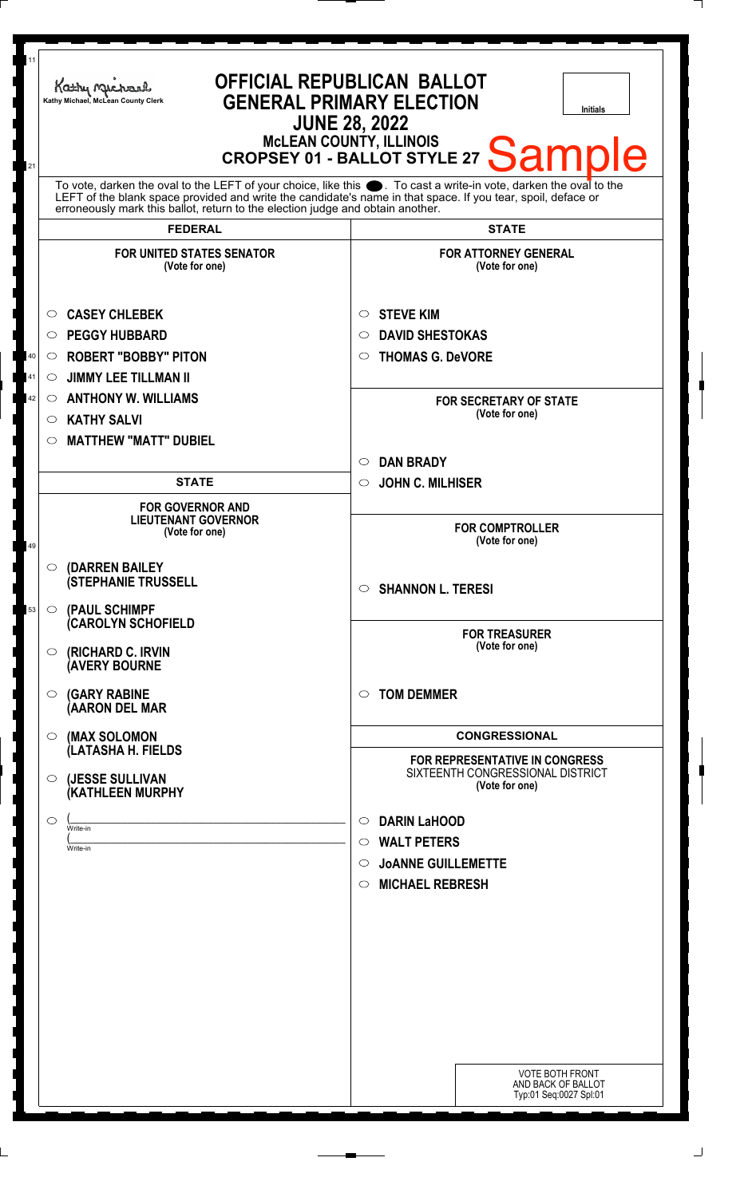| 11<br>21       | OFFICIAL REPUBLICAN BALLOT<br>Kathy Michael<br><b>GENERAL PRIMARY ELECTION</b><br>Kathy Michael, McLean County Clerk<br><b>Initials</b><br><b>JUNE 28, 2022</b><br><b>McLEAN COUNTY, ILLINOIS</b><br>MCLEAN COUNTY, ILLINOIS<br>CROPSEY 01 - BALLOT STYLE 27 Sample<br>To vote, darken the oval to the LEFT of your choice, like this $\bullet$ . To cast a write-in vote, darken the oval to the LEFT of the blank space provided and write the candidate's name in that space. If you tear, spoil, deface |                                                                                                                                                     |
|----------------|-------------------------------------------------------------------------------------------------------------------------------------------------------------------------------------------------------------------------------------------------------------------------------------------------------------------------------------------------------------------------------------------------------------------------------------------------------------------------------------------------------------|-----------------------------------------------------------------------------------------------------------------------------------------------------|
|                | erroneously mark this ballot, return to the election judge and obtain another.<br><b>FEDERAL</b>                                                                                                                                                                                                                                                                                                                                                                                                            | <b>STATE</b>                                                                                                                                        |
|                | <b>FOR UNITED STATES SENATOR</b><br>(Vote for one)                                                                                                                                                                                                                                                                                                                                                                                                                                                          | <b>FOR ATTORNEY GENERAL</b><br>(Vote for one)                                                                                                       |
| 40<br>41<br>42 | <b>CASEY CHLEBEK</b><br>O<br><b>PEGGY HUBBARD</b><br>O<br><b>ROBERT "BOBBY" PITON</b><br>$\circ$<br><b>JIMMY LEE TILLMAN II</b><br>$\circ$<br><b>ANTHONY W. WILLIAMS</b><br>$\circ$<br><b>KATHY SALVI</b><br>$\circ$                                                                                                                                                                                                                                                                                        | <b>STEVE KIM</b><br>$\circ$<br><b>DAVID SHESTOKAS</b><br>O<br><b>THOMAS G. DeVORE</b><br>$\circ$<br><b>FOR SECRETARY OF STATE</b><br>(Vote for one) |
|                | <b>MATTHEW "MATT" DUBIEL</b><br>O<br><b>STATE</b>                                                                                                                                                                                                                                                                                                                                                                                                                                                           | <b>DAN BRADY</b><br>$\circ$<br><b>JOHN C. MILHISER</b><br>$\circ$                                                                                   |
| 49             | <b>FOR GOVERNOR AND</b><br><b>LIEUTENANT GOVERNOR</b><br>(Vote for one)                                                                                                                                                                                                                                                                                                                                                                                                                                     | <b>FOR COMPTROLLER</b><br>(Vote for one)                                                                                                            |
| 53             | (DARREN BAILEY<br>$\circ$<br><b>(STEPHANIE TRUSSELL</b><br>(PAUL SCHIMPF<br>$\circ$                                                                                                                                                                                                                                                                                                                                                                                                                         | $\circ$ SHANNON L. TERESI                                                                                                                           |
|                | <b>CAROLYN SCHOFIELD</b><br>(RICHARD C. IRVIN<br>$\circ$<br><b>(AVERY BOURNE</b>                                                                                                                                                                                                                                                                                                                                                                                                                            | <b>FOR TREASURER</b><br>(Vote for one)                                                                                                              |
|                | <b>(GARY RABINE</b><br>$\circ$<br>(AARON DEL MAR                                                                                                                                                                                                                                                                                                                                                                                                                                                            | <b>TOM DEMMER</b><br>$\circ$                                                                                                                        |
|                | (MAX SOLOMON<br>$\circ$<br>(LATASHA H. FIELDS                                                                                                                                                                                                                                                                                                                                                                                                                                                               | <b>CONGRESSIONAL</b><br><b>FOR REPRESENTATIVE IN CONGRESS</b>                                                                                       |
|                | (JESSE SULLIVAN<br>O<br>(KATHLEEN MURPHY                                                                                                                                                                                                                                                                                                                                                                                                                                                                    | SIXTEENTH CONGRESSIONAL DISTRICT<br>(Vote for one)                                                                                                  |
|                | ◯<br>Write-in<br>Write-in                                                                                                                                                                                                                                                                                                                                                                                                                                                                                   | <b>DARIN LaHOOD</b><br>$\circ$<br><b>WALT PETERS</b><br>$\circ$<br><b>JOANNE GUILLEMETTE</b><br>$\circ$<br><b>MICHAEL REBRESH</b><br>$\circ$        |
|                |                                                                                                                                                                                                                                                                                                                                                                                                                                                                                                             | <b>VOTE BOTH FRONT</b><br>AND BACK OF BALLOT<br>Typ:01 Seq:0027 Spl:01                                                                              |